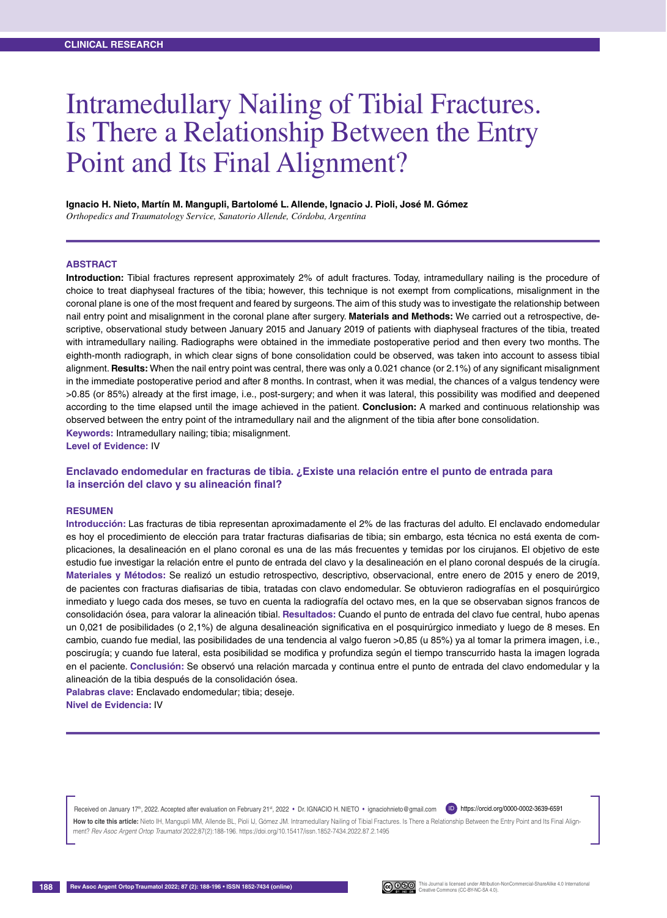# Intramedullary Nailing of Tibial Fractures. Is There a Relationship Between the Entry Point and Its Final Alignment?

#### **Ignacio H. Nieto, Martín M. Mangupli, Bartolomé L. Allende, Ignacio J. Pioli, José M. Gómez**

*Orthopedics and Traumatology Service, Sanatorio Allende, Córdoba, Argentina*

#### **Abstract**

**Introduction:** Tibial fractures represent approximately 2% of adult fractures. Today, intramedullary nailing is the procedure of choice to treat diaphyseal fractures of the tibia; however, this technique is not exempt from complications, misalignment in the coronal plane is one of the most frequent and feared by surgeons. The aim of this study was to investigate the relationship between nail entry point and misalignment in the coronal plane after surgery. **Materials and Methods:** We carried out a retrospective, descriptive, observational study between January 2015 and January 2019 of patients with diaphyseal fractures of the tibia, treated with intramedullary nailing. Radiographs were obtained in the immediate postoperative period and then every two months. The eighth-month radiograph, in which clear signs of bone consolidation could be observed, was taken into account to assess tibial alignment. **Results:** When the nail entry point was central, there was only a 0.021 chance (or 2.1%) of any significant misalignment in the immediate postoperative period and after 8 months. In contrast, when it was medial, the chances of a valgus tendency were >0.85 (or 85%) already at the first image, i.e., post-surgery; and when it was lateral, this possibility was modified and deepened according to the time elapsed until the image achieved in the patient. **Conclusion:** A marked and continuous relationship was observed between the entry point of the intramedullary nail and the alignment of the tibia after bone consolidation. **Keywords:** Intramedullary nailing; tibia; misalignment.

**Level of Evidence:** IV

# **Enclavado endomedular en fracturas de tibia. ¿Existe una relación entre el punto de entrada para la inserción del clavo y su alineación final?**

#### **RESUMEN**

**Introducción:** Las fracturas de tibia representan aproximadamente el 2% de las fracturas del adulto. El enclavado endomedular es hoy el procedimiento de elección para tratar fracturas diafisarias de tibia; sin embargo, esta técnica no está exenta de complicaciones, la desalineación en el plano coronal es una de las más frecuentes y temidas por los cirujanos. El objetivo de este estudio fue investigar la relación entre el punto de entrada del clavo y la desalineación en el plano coronal después de la cirugía. **Materiales y Métodos:** Se realizó un estudio retrospectivo, descriptivo, observacional, entre enero de 2015 y enero de 2019, de pacientes con fracturas diafisarias de tibia, tratadas con clavo endomedular. Se obtuvieron radiografías en el posquirúrgico inmediato y luego cada dos meses, se tuvo en cuenta la radiografía del octavo mes, en la que se observaban signos francos de consolidación ósea, para valorar la alineación tibial. **Resultados:** Cuando el punto de entrada del clavo fue central, hubo apenas un 0,021 de posibilidades (o 2,1%) de alguna desalineación significativa en el posquirúrgico inmediato y luego de 8 meses. En cambio, cuando fue medial, las posibilidades de una tendencia al valgo fueron >0,85 (u 85%) ya al tomar la primera imagen, i.e., poscirugía; y cuando fue lateral, esta posibilidad se modifica y profundiza según el tiempo transcurrido hasta la imagen lograda en el paciente. **Conclusión:** Se observó una relación marcada y continua entre el punto de entrada del clavo endomedular y la alineación de la tibia después de la consolidación ósea.

**Palabras clave:** Enclavado endomedular; tibia; deseje. **Nivel de Evidencia:** IV

Received on January 17<sup>th</sup>, 2022. Accepted after evaluation on February 21st, 2022 • Dr. IGNACIO H. NIETO • ignaciohnieto@gmail.com (D) <https://orcid.org/0000-0002-3639-6591>

How to cite this article: Nieto IH, Mangupli MM, Allende BL, Pioli IJ, Gómez JM. Intramedullary Nailing of Tibial Fractures. Is There a Relationship Between the Entry Point and Its Final Alignment? *Rev Asoc Argent Ortop Traumatol* 2022;87(2):188-196.<https://doi.org/10.15417/issn.1852-7434.2022.87.2.1495>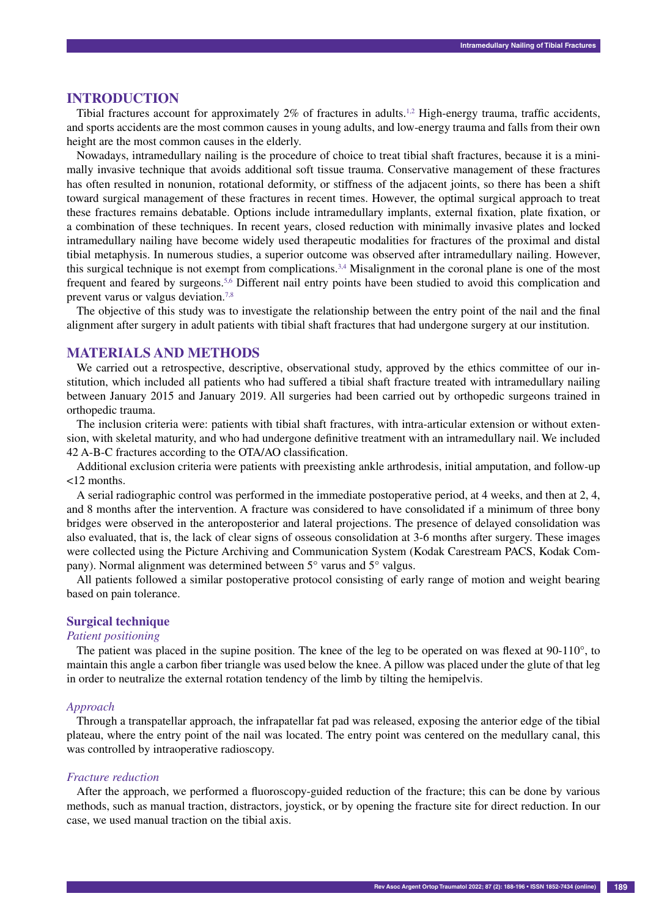## **INTRODUCTION**

Tibial fractures account for approximately  $2\%$  of fractures in adults.<sup>1,2</sup> High-energy trauma, traffic accidents, and sports accidents are the most common causes in young adults, and low-energy trauma and falls from their own height are the most common causes in the elderly.

Nowadays, intramedullary nailing is the procedure of choice to treat tibial shaft fractures, because it is a minimally invasive technique that avoids additional soft tissue trauma. Conservative management of these fractures has often resulted in nonunion, rotational deformity, or stiffness of the adjacent joints, so there has been a shift toward surgical management of these fractures in recent times. However, the optimal surgical approach to treat these fractures remains debatable. Options include intramedullary implants, external fixation, plate fixation, or a combination of these techniques. In recent years, closed reduction with minimally invasive plates and locked intramedullary nailing have become widely used therapeutic modalities for fractures of the proximal and distal tibial metaphysis. In numerous studies, a superior outcome was observed after intramedullary nailing. However, this surgical technique is not exempt from complications.<sup>3,4</sup> Misalignment in the coronal plane is one of the most frequent and feared by surgeons.5,6 Different nail entry points have been studied to avoid this complication and prevent varus or valgus deviation.<sup>7,8</sup>

The objective of this study was to investigate the relationship between the entry point of the nail and the final alignment after surgery in adult patients with tibial shaft fractures that had undergone surgery at our institution.

# **MATERIALS AND METHODS**

We carried out a retrospective, descriptive, observational study, approved by the ethics committee of our institution, which included all patients who had suffered a tibial shaft fracture treated with intramedullary nailing between January 2015 and January 2019. All surgeries had been carried out by orthopedic surgeons trained in orthopedic trauma.

The inclusion criteria were: patients with tibial shaft fractures, with intra-articular extension or without extension, with skeletal maturity, and who had undergone definitive treatment with an intramedullary nail. We included 42 A-B-C fractures according to the OTA/AO classification.

Additional exclusion criteria were patients with preexisting ankle arthrodesis, initial amputation, and follow-up <12 months.

A serial radiographic control was performed in the immediate postoperative period, at 4 weeks, and then at 2, 4, and 8 months after the intervention. A fracture was considered to have consolidated if a minimum of three bony bridges were observed in the anteroposterior and lateral projections. The presence of delayed consolidation was also evaluated, that is, the lack of clear signs of osseous consolidation at 3-6 months after surgery. These images were collected using the Picture Archiving and Communication System (Kodak Carestream PACS, Kodak Company). Normal alignment was determined between 5° varus and 5° valgus.

All patients followed a similar postoperative protocol consisting of early range of motion and weight bearing based on pain tolerance.

## **Surgical technique**

## *Patient positioning*

The patient was placed in the supine position. The knee of the leg to be operated on was flexed at 90-110°, to maintain this angle a carbon fiber triangle was used below the knee. A pillow was placed under the glute of that leg in order to neutralize the external rotation tendency of the limb by tilting the hemipelvis.

#### *Approach*

Through a transpatellar approach, the infrapatellar fat pad was released, exposing the anterior edge of the tibial plateau, where the entry point of the nail was located. The entry point was centered on the medullary canal, this was controlled by intraoperative radioscopy.

#### *Fracture reduction*

After the approach, we performed a fluoroscopy-guided reduction of the fracture; this can be done by various methods, such as manual traction, distractors, joystick, or by opening the fracture site for direct reduction. In our case, we used manual traction on the tibial axis.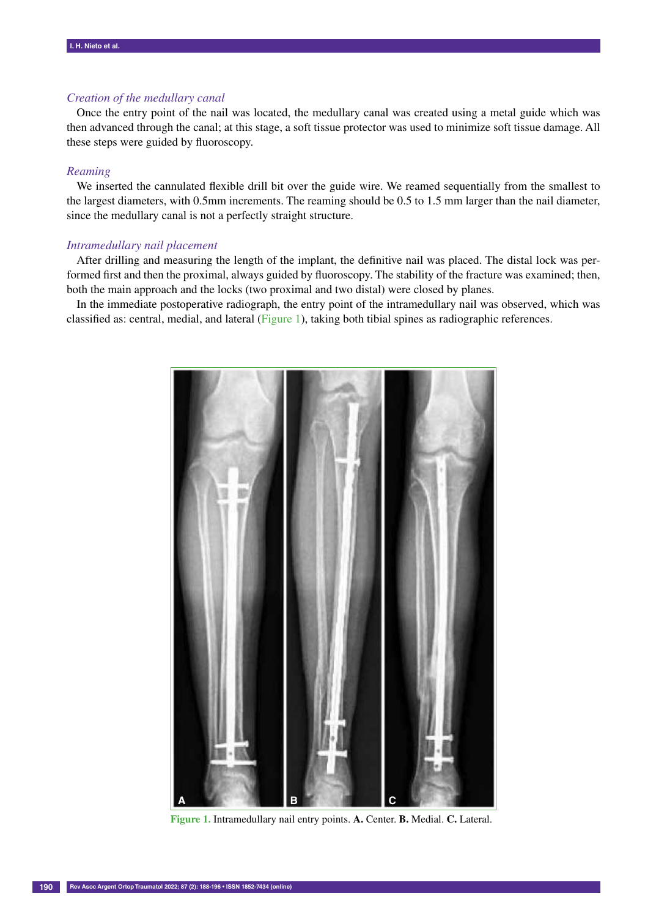## *Creation of the medullary canal*

Once the entry point of the nail was located, the medullary canal was created using a metal guide which was then advanced through the canal; at this stage, a soft tissue protector was used to minimize soft tissue damage. All these steps were guided by fluoroscopy.

## *Reaming*

We inserted the cannulated flexible drill bit over the guide wire. We reamed sequentially from the smallest to the largest diameters, with 0.5mm increments. The reaming should be 0.5 to 1.5 mm larger than the nail diameter, since the medullary canal is not a perfectly straight structure.

# *Intramedullary nail placement*

After drilling and measuring the length of the implant, the definitive nail was placed. The distal lock was performed first and then the proximal, always guided by fluoroscopy. The stability of the fracture was examined; then, both the main approach and the locks (two proximal and two distal) were closed by planes.

In the immediate postoperative radiograph, the entry point of the intramedullary nail was observed, which was classified as: central, medial, and lateral (Figure 1), taking both tibial spines as radiographic references.



**Figure 1.** Intramedullary nail entry points. **A.** Center. **B.** Medial. **C.** Lateral.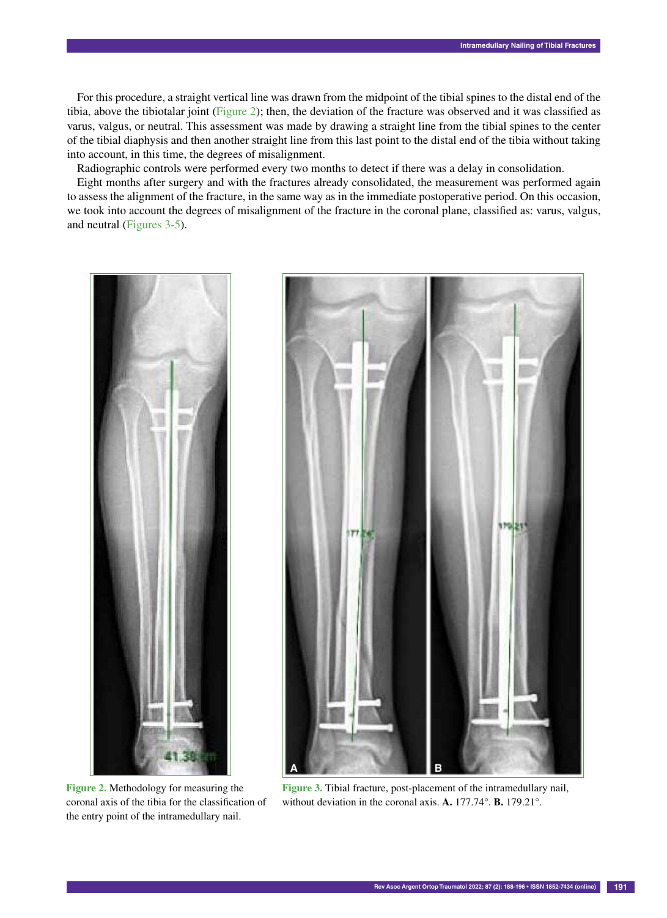For this procedure, a straight vertical line was drawn from the midpoint of the tibial spines to the distal end of the tibia, above the tibiotalar joint (Figure 2); then, the deviation of the fracture was observed and it was classified as varus, valgus, or neutral. This assessment was made by drawing a straight line from the tibial spines to the center of the tibial diaphysis and then another straight line from this last point to the distal end of the tibia without taking into account, in this time, the degrees of misalignment.

Radiographic controls were performed every two months to detect if there was a delay in consolidation.

Eight months after surgery and with the fractures already consolidated, the measurement was performed again to assess the alignment of the fracture, in the same way as in the immediate postoperative period. On this occasion, we took into account the degrees of misalignment of the fracture in the coronal plane, classified as: varus, valgus, and neutral (Figures 3-5).



**Figure 2.** Methodology for measuring the coronal axis of the tibia for the classification of the entry point of the intramedullary nail.



**Figure 3.** Tibial fracture, post-placement of the intramedullary nail, without deviation in the coronal axis. **A.** 177.74°. **B.** 179.21°.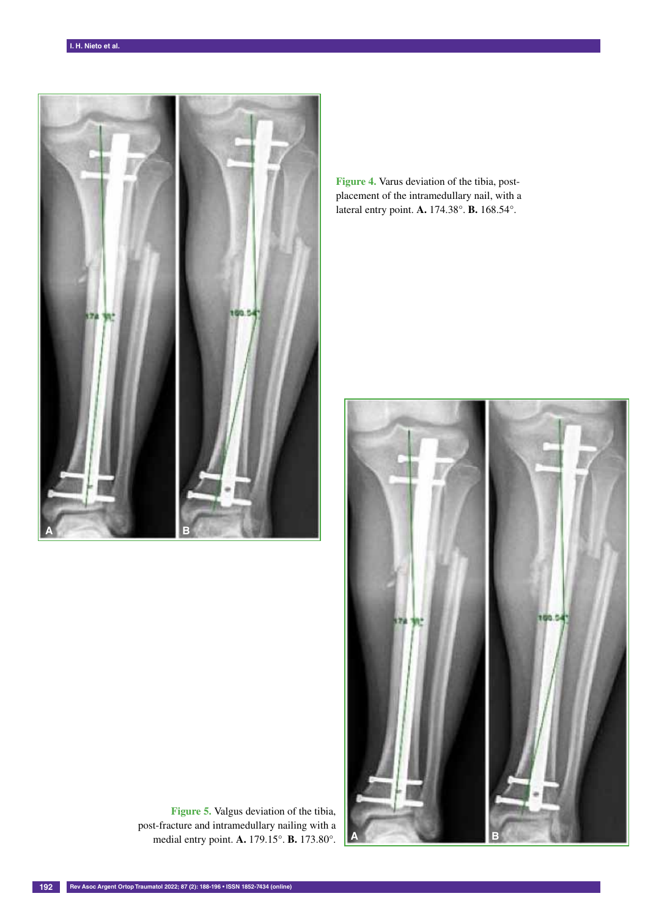

**Figure 4.** Varus deviation of the tibia, postplacement of the intramedullary nail, with a lateral entry point. **A.** 174.38°. **B.** 168.54°.



**Figure 5.** Valgus deviation of the tibia, post-fracture and intramedullary nailing with a medial entry point. **A.** 179.15°. **B.** 173.80°.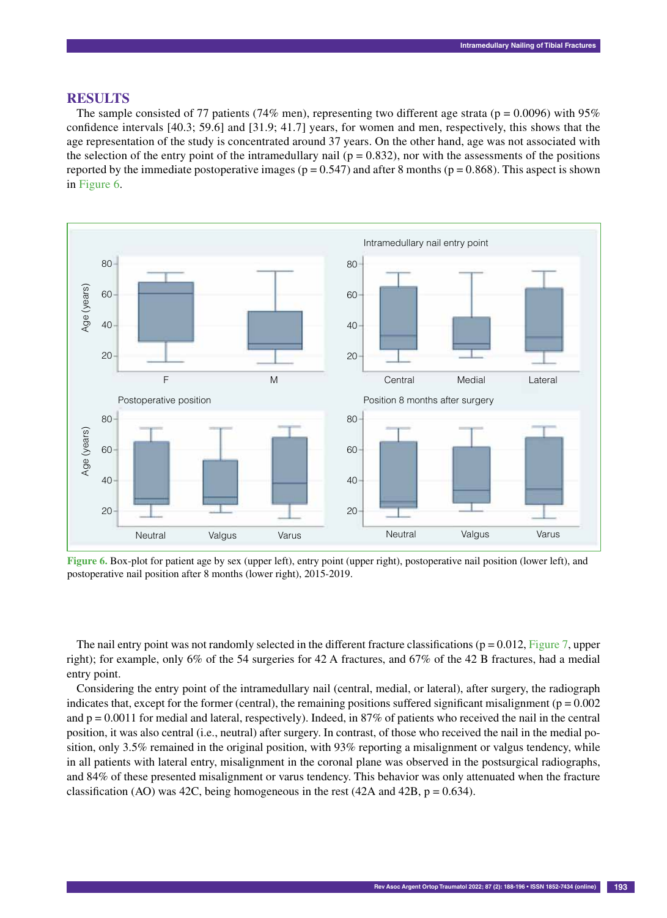# **RESULTS**

The sample consisted of 77 patients (74% men), representing two different age strata ( $p = 0.0096$ ) with 95% confidence intervals [40.3; 59.6] and [31.9; 41.7] years, for women and men, respectively, this shows that the age representation of the study is concentrated around 37 years. On the other hand, age was not associated with the selection of the entry point of the intramedullary nail ( $p = 0.832$ ), nor with the assessments of the positions reported by the immediate postoperative images ( $p = 0.547$ ) and after 8 months ( $p = 0.868$ ). This aspect is shown in Figure 6.



**Figure 6.** Box-plot for patient age by sex (upper left), entry point (upper right), postoperative nail position (lower left), and postoperative nail position after 8 months (lower right), 2015-2019.

The nail entry point was not randomly selected in the different fracture classifications ( $p = 0.012$ , Figure 7, upper right); for example, only 6% of the 54 surgeries for 42 A fractures, and 67% of the 42 B fractures, had a medial entry point.

Considering the entry point of the intramedullary nail (central, medial, or lateral), after surgery, the radiograph indicates that, except for the former (central), the remaining positions suffered significant misalignment ( $p = 0.002$ ) and  $p = 0.0011$  for medial and lateral, respectively). Indeed, in 87% of patients who received the nail in the central position, it was also central (i.e., neutral) after surgery. In contrast, of those who received the nail in the medial position, only 3.5% remained in the original position, with 93% reporting a misalignment or valgus tendency, while in all patients with lateral entry, misalignment in the coronal plane was observed in the postsurgical radiographs, and 84% of these presented misalignment or varus tendency. This behavior was only attenuated when the fracture classification (AO) was 42C, being homogeneous in the rest (42A and 42B,  $p = 0.634$ ).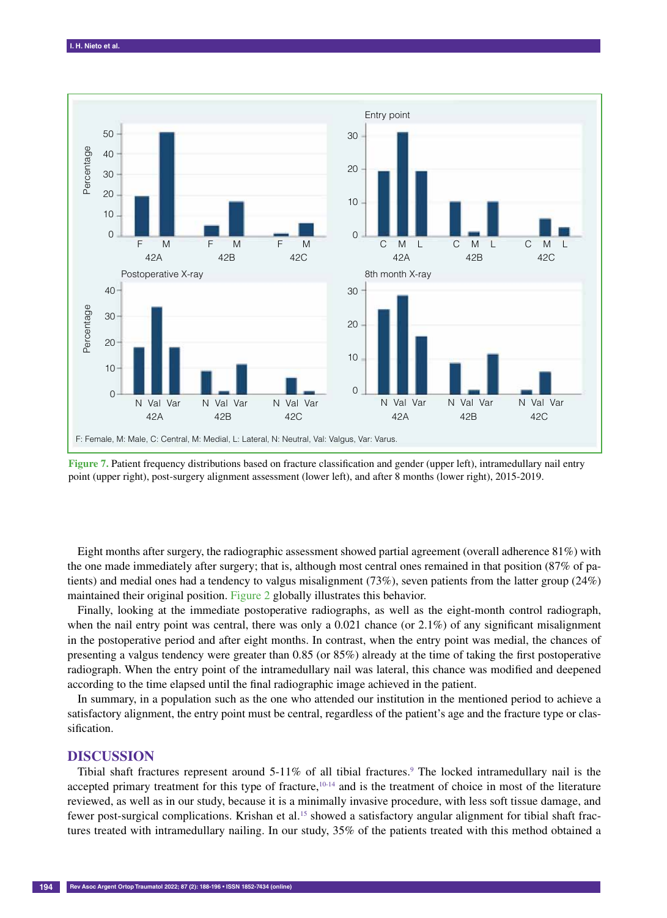

**Figure 7.** Patient frequency distributions based on fracture classification and gender (upper left), intramedullary nail entry point (upper right), post-surgery alignment assessment (lower left), and after 8 months (lower right), 2015-2019.

Eight months after surgery, the radiographic assessment showed partial agreement (overall adherence 81%) with the one made immediately after surgery; that is, although most central ones remained in that position (87% of patients) and medial ones had a tendency to valgus misalignment (73%), seven patients from the latter group (24%) maintained their original position. Figure 2 globally illustrates this behavior.

Finally, looking at the immediate postoperative radiographs, as well as the eight-month control radiograph, when the nail entry point was central, there was only a 0.021 chance (or 2.1%) of any significant misalignment in the postoperative period and after eight months. In contrast, when the entry point was medial, the chances of presenting a valgus tendency were greater than 0.85 (or 85%) already at the time of taking the first postoperative radiograph. When the entry point of the intramedullary nail was lateral, this chance was modified and deepened according to the time elapsed until the final radiographic image achieved in the patient.

In summary, in a population such as the one who attended our institution in the mentioned period to achieve a satisfactory alignment, the entry point must be central, regardless of the patient's age and the fracture type or classification.

# **DISCUSSION**

Tibial shaft fractures represent around 5-11% of all tibial fractures.<sup>9</sup> The locked intramedullary nail is the accepted primary treatment for this type of fracture, $10^{-14}$  and is the treatment of choice in most of the literature reviewed, as well as in our study, because it is a minimally invasive procedure, with less soft tissue damage, and fewer post-surgical complications. Krishan et al.15 showed a satisfactory angular alignment for tibial shaft fractures treated with intramedullary nailing. In our study, 35% of the patients treated with this method obtained a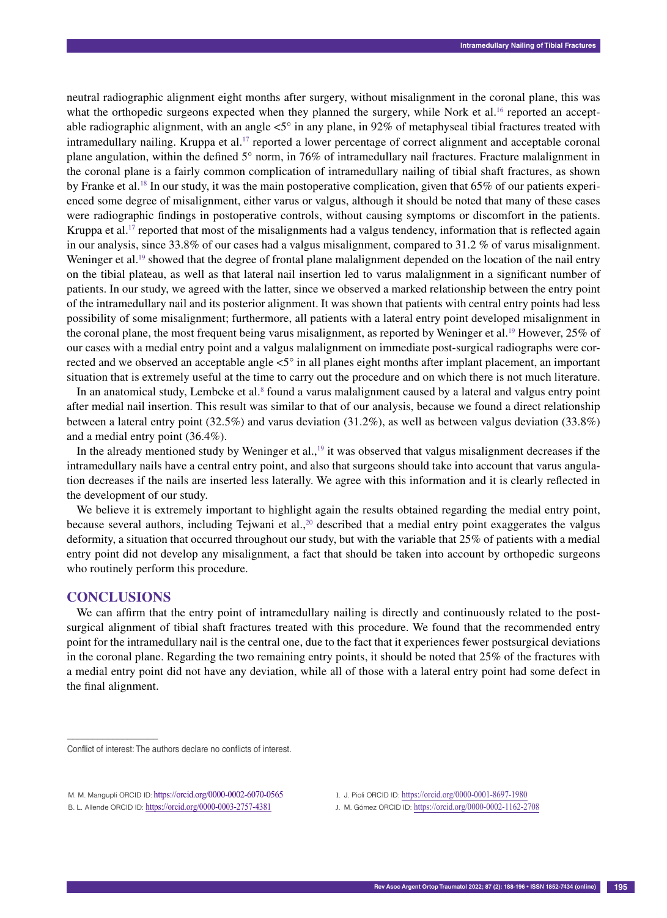neutral radiographic alignment eight months after surgery, without misalignment in the coronal plane, this was what the orthopedic surgeons expected when they planned the surgery, while Nork et al.<sup>16</sup> reported an acceptable radiographic alignment, with an angle  $5^{\circ}$  in any plane, in 92% of metaphyseal tibial fractures treated with intramedullary nailing. Kruppa et al.17 reported a lower percentage of correct alignment and acceptable coronal plane angulation, within the defined 5° norm, in 76% of intramedullary nail fractures. Fracture malalignment in the coronal plane is a fairly common complication of intramedullary nailing of tibial shaft fractures, as shown by Franke et al.18 In our study, it was the main postoperative complication, given that 65% of our patients experienced some degree of misalignment, either varus or valgus, although it should be noted that many of these cases were radiographic findings in postoperative controls, without causing symptoms or discomfort in the patients. Kruppa et al.<sup>17</sup> reported that most of the misalignments had a valgus tendency, information that is reflected again in our analysis, since 33.8% of our cases had a valgus misalignment, compared to 31.2 % of varus misalignment. Weninger et al.<sup>19</sup> showed that the degree of frontal plane malalignment depended on the location of the nail entry on the tibial plateau, as well as that lateral nail insertion led to varus malalignment in a significant number of patients. In our study, we agreed with the latter, since we observed a marked relationship between the entry point of the intramedullary nail and its posterior alignment. It was shown that patients with central entry points had less possibility of some misalignment; furthermore, all patients with a lateral entry point developed misalignment in the coronal plane, the most frequent being varus misalignment, as reported by Weninger et al.<sup>19</sup> However, 25% of our cases with a medial entry point and a valgus malalignment on immediate post-surgical radiographs were corrected and we observed an acceptable angle  $\lt 5^\circ$  in all planes eight months after implant placement, an important situation that is extremely useful at the time to carry out the procedure and on which there is not much literature.

In an anatomical study, Lembcke et al.<sup>8</sup> found a varus malalignment caused by a lateral and valgus entry point after medial nail insertion. This result was similar to that of our analysis, because we found a direct relationship between a lateral entry point (32.5%) and varus deviation (31.2%), as well as between valgus deviation (33.8%) and a medial entry point (36.4%).

In the already mentioned study by Weninger et al., $\frac{19}{19}$  it was observed that valgus misalignment decreases if the intramedullary nails have a central entry point, and also that surgeons should take into account that varus angulation decreases if the nails are inserted less laterally. We agree with this information and it is clearly reflected in the development of our study.

We believe it is extremely important to highlight again the results obtained regarding the medial entry point, because several authors, including Tejwani et al.,<sup>20</sup> described that a medial entry point exaggerates the valgus deformity, a situation that occurred throughout our study, but with the variable that 25% of patients with a medial entry point did not develop any misalignment, a fact that should be taken into account by orthopedic surgeons who routinely perform this procedure.

# **CONCLUSIONS**

––––––––––––––––––

We can affirm that the entry point of intramedullary nailing is directly and continuously related to the postsurgical alignment of tibial shaft fractures treated with this procedure. We found that the recommended entry point for the intramedullary nail is the central one, due to the fact that it experiences fewer postsurgical deviations in the coronal plane. Regarding the two remaining entry points, it should be noted that 25% of the fractures with a medial entry point did not have any deviation, while all of those with a lateral entry point had some defect in the final alignment.

- I. J. Pioli ORCID ID: <https://orcid.org/0000-0001-8697-1980>
- J. M. Gómez ORCID ID: <https://orcid.org/0000-0002-1162-2708>

Conflict of interest: The authors declare no conflicts of interest.

M. M. Mangupli ORCID ID: <https://orcid.org/0000-0002-6070-0565> B. L. Allende ORCID ID: <https://orcid.org/0000-0003-2757-4381>